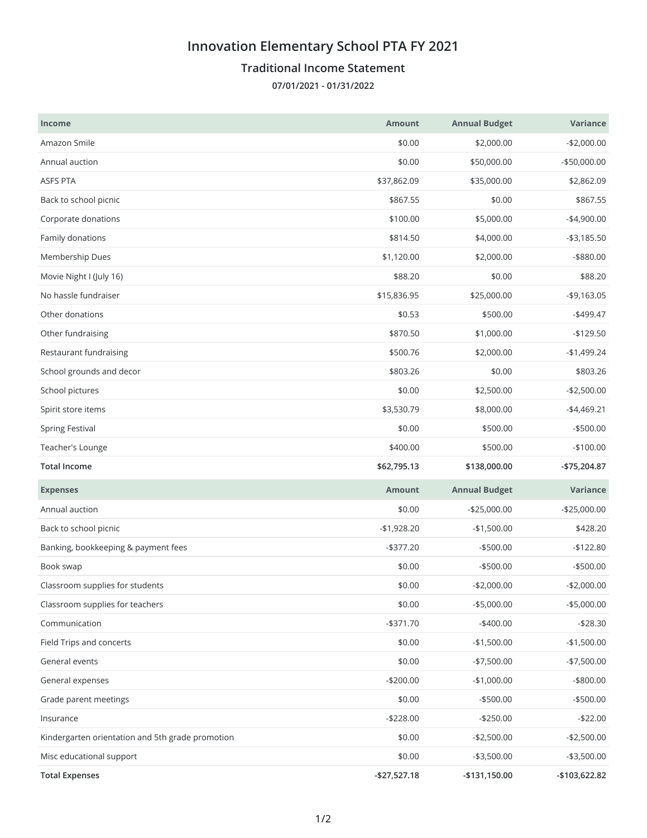## **Innovation Elementary School PTA FY 2021**

## **Traditional Income Statement**

**07/01/2021 - 01/31/2022**

| <b>Income</b>                                    | <b>Amount</b> | <b>Annual Budget</b> | Variance      |
|--------------------------------------------------|---------------|----------------------|---------------|
| Amazon Smile                                     | \$0.00        | \$2,000.00           | $-$2,000.00$  |
| Annual auction                                   | \$0.00        | \$50,000.00          | -\$50,000.00  |
| <b>ASFS PTA</b>                                  | \$37,862.09   | \$35,000.00          | \$2,862.09    |
| Back to school picnic                            | \$867.55      | \$0.00               | \$867.55      |
| Corporate donations                              | \$100.00      | \$5,000.00           | $-$4,900.00$  |
| Family donations                                 | \$814.50      | \$4,000.00           | $- $3,185.50$ |
| Membership Dues                                  | \$1,120.00    | \$2,000.00           | $-$ \$880.00  |
| Movie Night I (July 16)                          | \$88.20       | \$0.00               | \$88.20       |
| No hassle fundraiser                             | \$15,836.95   | \$25,000.00          | $-$9,163.05$  |
| Other donations                                  | \$0.53        | \$500.00             | $-$499.47$    |
| Other fundraising                                | \$870.50      | \$1,000.00           | $-$129.50$    |
| Restaurant fundraising                           | \$500.76      | \$2,000.00           | $-$1,499.24$  |
| School grounds and decor                         | \$803.26      | \$0.00               | \$803.26      |
| School pictures                                  | \$0.00        | \$2,500.00           | $-$2,500.00$  |
| Spirit store items                               | \$3,530.79    | \$8,000.00           | $-$4,469.21$  |
| <b>Spring Festival</b>                           | \$0.00        | \$500.00             | $-$500.00$    |
| Teacher's Lounge                                 | \$400.00      | \$500.00             | $-$100.00$    |
|                                                  |               |                      |               |
| <b>Total Income</b>                              | \$62,795.13   | \$138,000.00         | -\$75,204.87  |
| <b>Expenses</b>                                  | <b>Amount</b> | <b>Annual Budget</b> | Variance      |
| Annual auction                                   | \$0.00        | $-$25,000.00$        | $-$25,000.00$ |
| Back to school picnic                            | $-$1,928.20$  | $-$1,500.00$         | \$428.20      |
| Banking, bookkeeping & payment fees              | $- $377.20$   | $- $500.00$          | $-$122.80$    |
| Book swap                                        | \$0.00        | $-$500.00$           | $-$500.00$    |
| Classroom supplies for students                  | \$0.00        | $-$2,000.00$         | $-$2,000.00$  |
| Classroom supplies for teachers                  | \$0.00        | $-$5,000.00$         | $-$5,000.00$  |
| Communication                                    | $- $371.70$   | $-$400.00$           | $-$28.30$     |
| Field Trips and concerts                         | \$0.00        | $-$1,500.00$         | $-$1,500.00$  |
| General events                                   | \$0.00        | $-$7,500.00$         | $-$7,500.00$  |
| General expenses                                 | $-$200.00$    | $-$1,000.00$         | $-$ \$800.00  |
| Grade parent meetings                            | \$0.00        | $-$500.00$           | $- $500.00$   |
| Insurance                                        | $-$228.00$    | $-$250.00$           | $-$22.00$     |
| Kindergarten orientation and 5th grade promotion | \$0.00        | $-$2,500.00$         | $-$2,500.00$  |
| Misc educational support                         | \$0.00        | $- $3,500.00$        | $- $3,500.00$ |